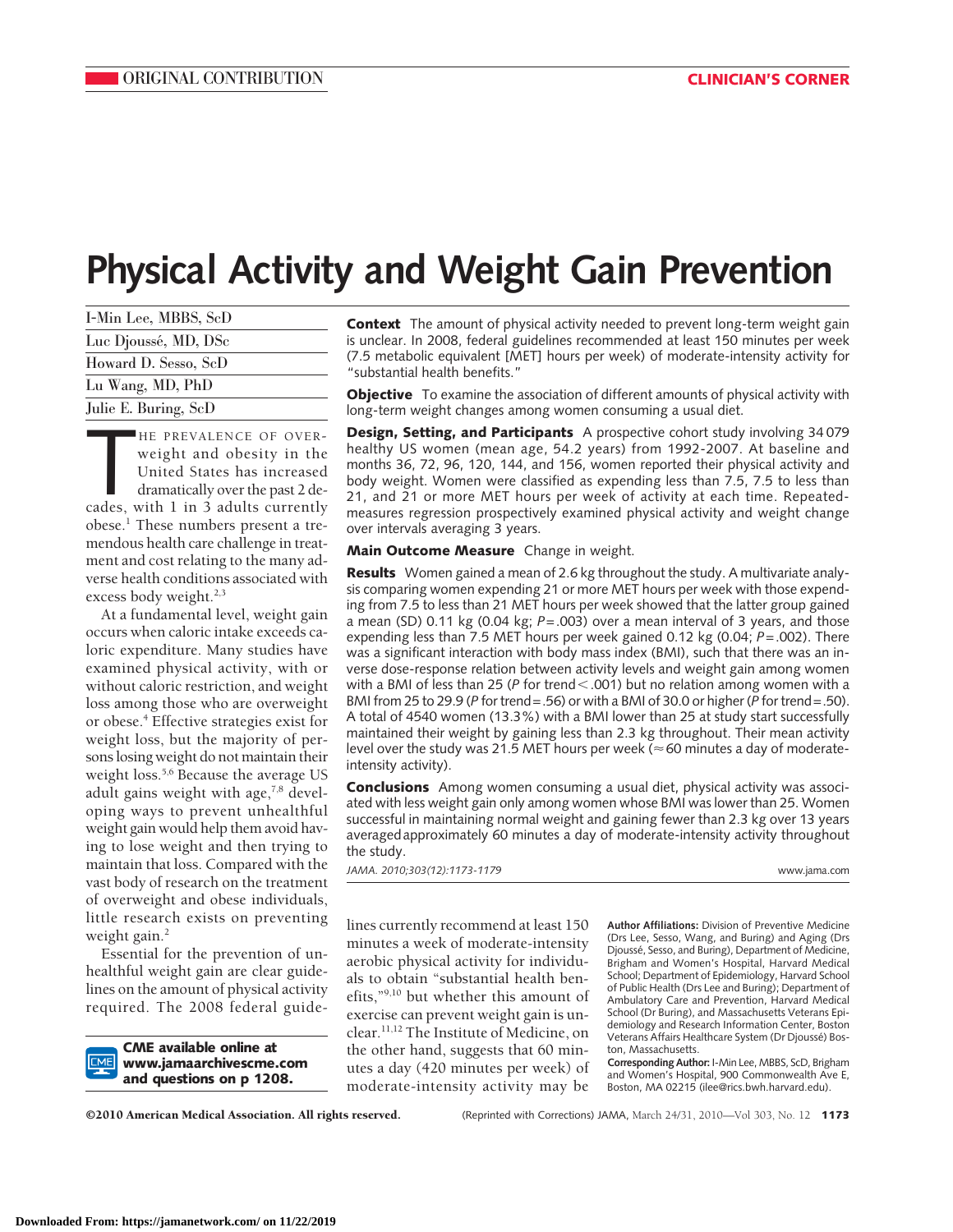# **Physical Activity and Weight Gain Prevention**

| I-Min Lee, MBBS, ScD |
|----------------------|
| Luc Djoussé, MD, DSc |
| Howard D. Sesso, ScD |
| Lu Wang, MD, PhD     |
| Julie E. Buring, ScD |

HE PREVALENCE OF OVER-<br>weight and obesity in the<br>United States has increased<br>dramatically over the past 2 de-<br>cades, with 1 in 3 adults currently HE PREVALENCE OF OVERweight and obesity in the United States has increased dramatically over the past 2 deobese.1 These numbers present a tremendous health care challenge in treatment and cost relating to the many adverse health conditions associated with excess body weight.<sup>2,3</sup>

At a fundamental level, weight gain occurs when caloric intake exceeds caloric expenditure. Many studies have examined physical activity, with or without caloric restriction, and weight loss among those who are overweight or obese.4 Effective strategies exist for weight loss, but the majority of persons losing weight do not maintain their weight loss.<sup>5,6</sup> Because the average US adult gains weight with age, $7,8$  developing ways to prevent unhealthful weight gain would help them avoid having to lose weight and then trying to maintain that loss. Compared with the vast body of research on the treatment of overweight and obese individuals, little research exists on preventing weight gain. $<sup>2</sup>$ </sup>

Essential for the prevention of unhealthful weight gain are clear guidelines on the amount of physical activity required. The 2008 federal guide-

**CME available online at www.jamaarchivescme.com and questions on p 1208.**

**Context** The amount of physical activity needed to prevent long-term weight gain is unclear. In 2008, federal guidelines recommended at least 150 minutes per week (7.5 metabolic equivalent [MET] hours per week) of moderate-intensity activity for "substantial health benefits."

**Objective** To examine the association of different amounts of physical activity with long-term weight changes among women consuming a usual diet.

**Design, Setting, and Participants** A prospective cohort study involving 34 079 healthy US women (mean age, 54.2 years) from 1992-2007. At baseline and months 36, 72, 96, 120, 144, and 156, women reported their physical activity and body weight. Women were classified as expending less than 7.5, 7.5 to less than 21, and 21 or more MET hours per week of activity at each time. Repeatedmeasures regression prospectively examined physical activity and weight change over intervals averaging 3 years.

**Main Outcome Measure** Change in weight.

**Results** Women gained a mean of 2.6 kg throughout the study. A multivariate analysis comparing women expending 21 or more MET hours per week with those expending from 7.5 to less than 21 MET hours per week showed that the latter group gained a mean (SD) 0.11 kg (0.04 kg; *P*=.003) over a mean interval of 3 years, and those expending less than 7.5 MET hours per week gained 0.12 kg (0.04; *P*=.002). There was a significant interaction with body mass index (BMI), such that there was an inverse dose-response relation between activity levels and weight gain among women with a BMI of less than 25 (P for trend<.001) but no relation among women with a BMI from 25 to 29.9 (*P* for trend=.56) or with a BMI of 30.0 or higher (*P* for trend=.50). A total of 4540 women (13.3%) with a BMI lower than 25 at study start successfully maintained their weight by gaining less than 2.3 kg throughout. Their mean activity level over the study was 21.5 MET hours per week ( $\approx$  60 minutes a day of moderateintensity activity).

**Conclusions** Among women consuming a usual diet, physical activity was associated with less weight gain only among women whose BMI was lower than 25. Women successful in maintaining normal weight and gaining fewer than 2.3 kg over 13 years averagedapproximately 60 minutes a day of moderate-intensity activity throughout the study.

*JAMA. 2010;303(12):1173-1179* www.jama.com

lines currently recommend at least 150 minutes a week of moderate-intensity aerobic physical activity for individuals to obtain "substantial health benefits,"9,10 but whether this amount of exercise can prevent weight gain is unclear.11,12 The Institute of Medicine, on the other hand, suggests that 60 minutes a day (420 minutes per week) of moderate-intensity activity may be **Author Affiliations:** Division of Preventive Medicine (Drs Lee, Sesso, Wang, and Buring) and Aging (Drs Djoussé, Sesso, and Buring), Department of Medicine, Brigham and Women's Hospital, Harvard Medical School; Department of Epidemiology, Harvard School of Public Health (Drs Lee and Buring); Department of Ambulatory Care and Prevention, Harvard Medical School (Dr Buring), and Massachusetts Veterans Epidemiology and Research Information Center, Boston Veterans Affairs Healthcare System (Dr Djoussé) Boston, Massachusetts.

**Corresponding Author:** I-Min Lee, MBBS, ScD, Brigham and Women's Hospital, 900 Commonwealth Ave E, Boston, MA 02215 (ilee@rics.bwh.harvard.edu).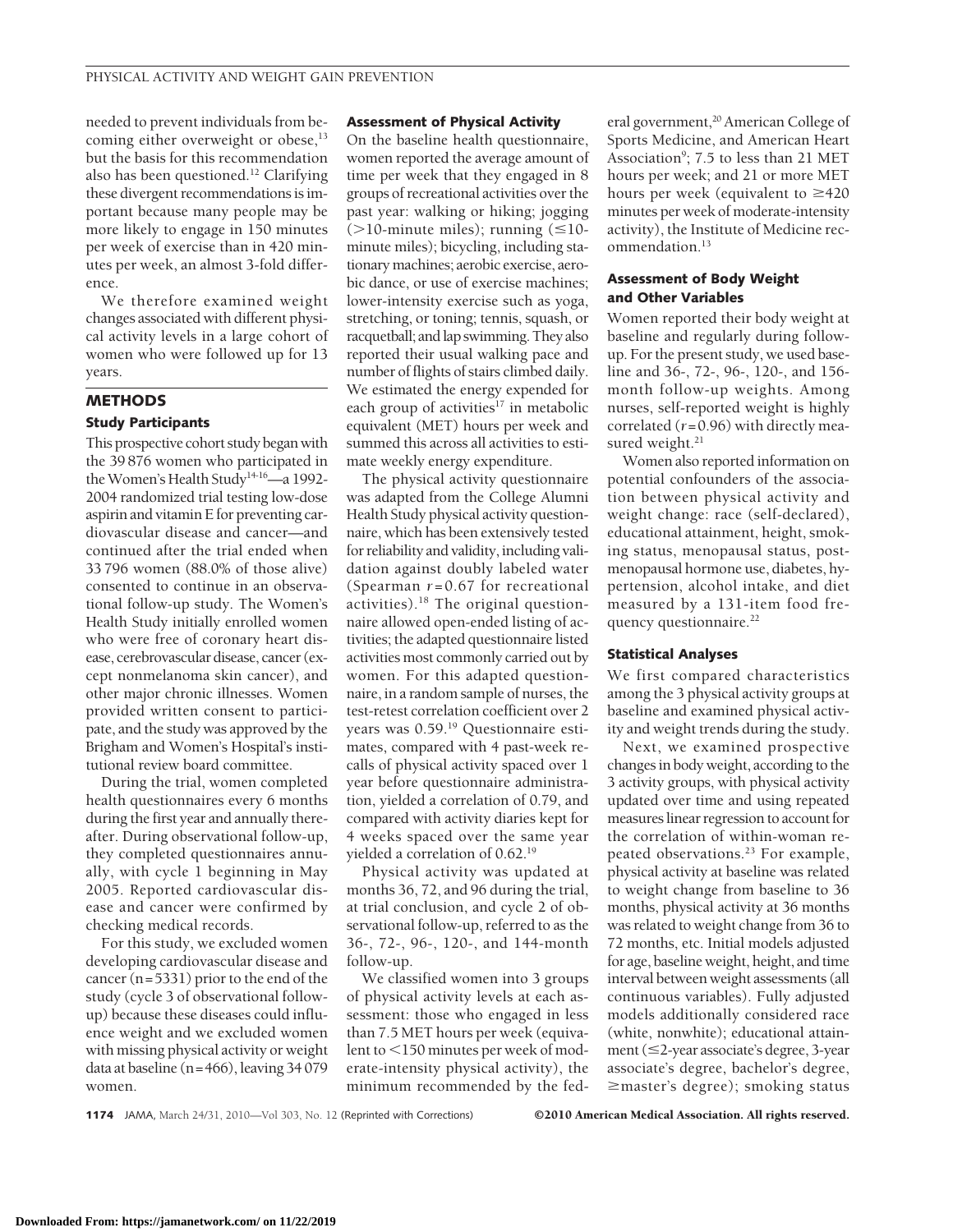needed to prevent individuals from becoming either overweight or obese,<sup>13</sup> but the basis for this recommendation also has been questioned.12 Clarifying these divergent recommendations is important because many people may be more likely to engage in 150 minutes per week of exercise than in 420 minutes per week, an almost 3-fold difference.

We therefore examined weight changes associated with different physical activity levels in a large cohort of women who were followed up for 13 years.

## **METHODS**

#### **Study Participants**

This prospective cohort study began with the 39 876 women who participated in the Women's Health Study<sup>14-16</sup>—a 1992-2004 randomized trial testing low-dose aspirin and vitamin E for preventing cardiovascular disease and cancer—and continued after the trial ended when 33 796 women (88.0% of those alive) consented to continue in an observational follow-up study. The Women's Health Study initially enrolled women who were free of coronary heart disease, cerebrovascular disease, cancer (except nonmelanoma skin cancer), and other major chronic illnesses. Women provided written consent to participate, and the study was approved by the Brigham and Women's Hospital's institutional review board committee.

During the trial, women completed health questionnaires every 6 months during the first year and annually thereafter. During observational follow-up, they completed questionnaires annually, with cycle 1 beginning in May 2005. Reported cardiovascular disease and cancer were confirmed by checking medical records.

For this study, we excluded women developing cardiovascular disease and cancer (n=5331) prior to the end of the study (cycle 3 of observational followup) because these diseases could influence weight and we excluded women with missing physical activity or weight data at baseline (n=466), leaving 34 079 women.

#### **Assessment of Physical Activity**

On the baseline health questionnaire, women reported the average amount of time per week that they engaged in 8 groups of recreational activities over the past year: walking or hiking; jogging ( $>$ 10-minute miles); running ( $\leq$ 10minute miles); bicycling, including stationary machines; aerobic exercise, aerobic dance, or use of exercise machines; lower-intensity exercise such as yoga, stretching, or toning; tennis, squash, or racquetball; and lap swimming. They also reported their usual walking pace and number of flights of stairs climbed daily. We estimated the energy expended for each group of activities<sup>17</sup> in metabolic equivalent (MET) hours per week and summed this across all activities to estimate weekly energy expenditure.

The physical activity questionnaire was adapted from the College Alumni Health Study physical activity questionnaire, which has been extensively tested for reliability and validity, including validation against doubly labeled water (Spearman  $r = 0.67$  for recreational activities). $18$  The original questionnaire allowed open-ended listing of activities; the adapted questionnaire listed activities most commonly carried out by women. For this adapted questionnaire, in a random sample of nurses, the test-retest correlation coefficient over 2 years was 0.59.19 Questionnaire estimates, compared with 4 past-week recalls of physical activity spaced over 1 year before questionnaire administration, yielded a correlation of 0.79, and compared with activity diaries kept for 4 weeks spaced over the same year yielded a correlation of 0.62.<sup>19</sup>

Physical activity was updated at months 36, 72, and 96 during the trial, at trial conclusion, and cycle 2 of observational follow-up, referred to as the 36-, 72-, 96-, 120-, and 144-month follow-up.

We classified women into 3 groups of physical activity levels at each assessment: those who engaged in less than 7.5 MET hours per week (equivalent to <150 minutes per week of moderate-intensity physical activity), the minimum recommended by the fed-

eral government,<sup>20</sup> American College of Sports Medicine, and American Heart Association<sup>9</sup>; 7.5 to less than 21 MET hours per week; and 21 or more MET hours per week (equivalent to  $\geq 420$ minutes per week of moderate-intensity activity), the Institute of Medicine recommendation.<sup>13</sup>

### **Assessment of Body Weight and Other Variables**

Women reported their body weight at baseline and regularly during followup. For the present study, we used baseline and 36-, 72-, 96-, 120-, and 156 month follow-up weights. Among nurses, self-reported weight is highly correlated (*r*=0.96) with directly measured weight.<sup>21</sup>

Women also reported information on potential confounders of the association between physical activity and weight change: race (self-declared), educational attainment, height, smoking status, menopausal status, postmenopausal hormone use, diabetes, hypertension, alcohol intake, and diet measured by a 131-item food frequency questionnaire.<sup>22</sup>

#### **Statistical Analyses**

We first compared characteristics among the 3 physical activity groups at baseline and examined physical activity and weight trends during the study.

Next, we examined prospective changes in body weight, according to the 3 activity groups, with physical activity updated over time and using repeated measures linear regression to account for the correlation of within-woman repeated observations.<sup>23</sup> For example, physical activity at baseline was related to weight change from baseline to 36 months, physical activity at 36 months was related to weight change from 36 to 72 months, etc. Initial models adjusted for age, baseline weight, height, and time interval between weight assessments (all continuous variables). Fully adjusted models additionally considered race (white, nonwhite); educational attainment  $(\leq$ 2-year associate's degree, 3-year associate's degree, bachelor's degree, master's degree); smoking status

#### **1174** JAMA, March 24/31, 2010—Vol 303, No. 12 (Reprinted with Corrections) ©2010 American Medical Association. All rights reserved.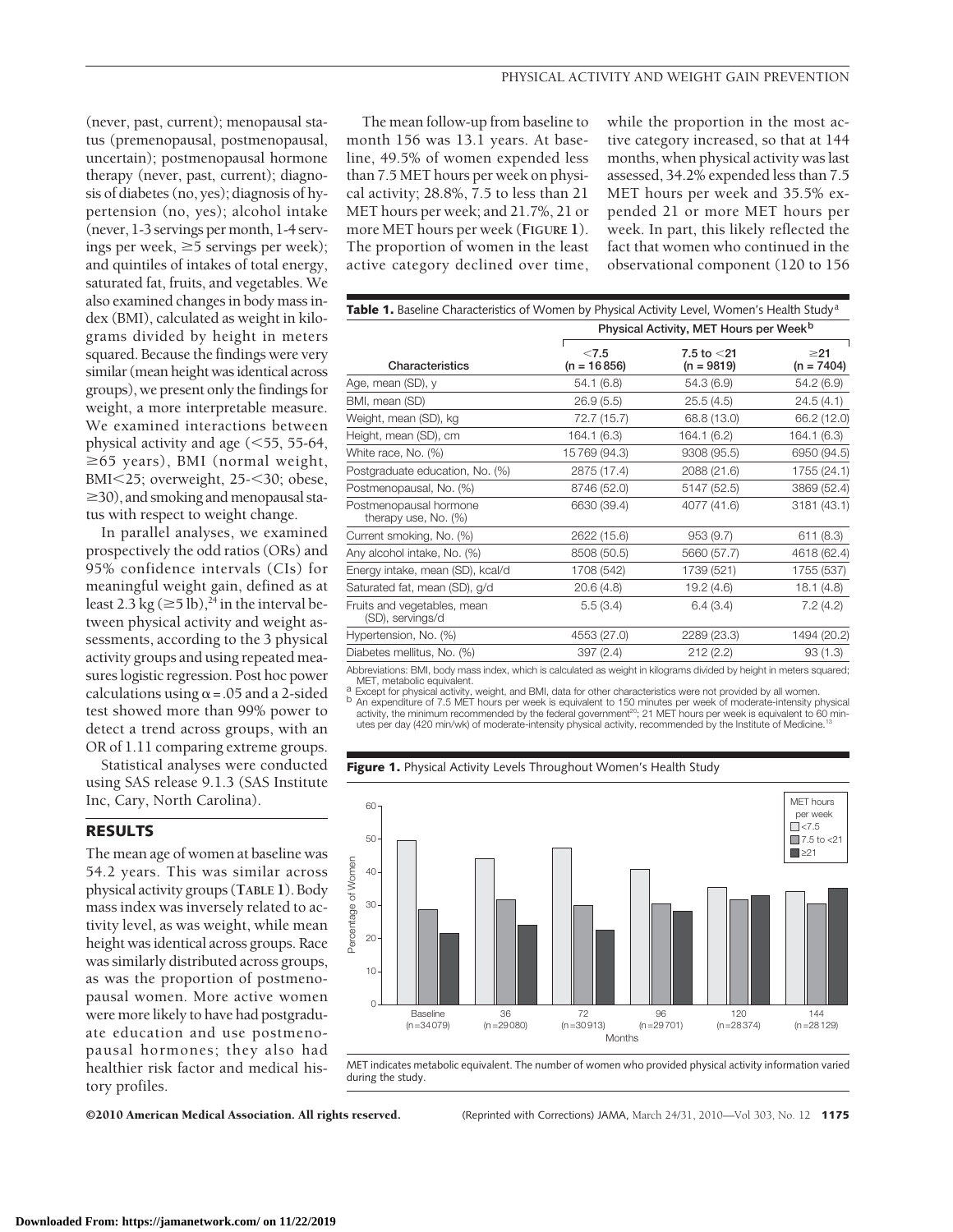(never, past, current); menopausal status (premenopausal, postmenopausal, uncertain); postmenopausal hormone therapy (never, past, current); diagnosis of diabetes (no, yes); diagnosis of hypertension (no, yes); alcohol intake (never, 1-3 servings per month, 1-4 servings per week,  $\geq$ 5 servings per week); and quintiles of intakes of total energy, saturated fat, fruits, and vegetables. We also examined changes in body mass index (BMI), calculated as weight in kilograms divided by height in meters squared. Because the findings were very similar (mean height was identical across groups), we present only the findings for weight, a more interpretable measure. We examined interactions between physical activity and age  $(<$  55, 55-64,  $\geq$ 65 years), BMI (normal weight, BMI<25; overweight, 25-<30; obese,  $\geq$ 30), and smoking and menopausal status with respect to weight change.

In parallel analyses, we examined prospectively the odd ratios (ORs) and 95% confidence intervals (CIs) for meaningful weight gain, defined as at least 2.3 kg ( $\geq$ 5 lb),<sup>24</sup> in the interval between physical activity and weight assessments, according to the 3 physical activity groups and using repeated measures logistic regression. Post hoc power calculations using  $\alpha$  = .05 and a 2-sided test showed more than 99% power to detect a trend across groups, with an OR of 1.11 comparing extreme groups.

Statistical analyses were conducted using SAS release 9.1.3 (SAS Institute Inc, Cary, North Carolina).

## **RESULTS**

The mean age of women at baseline was 54.2 years. This was similar across physical activity groups (**TABLE 1**). Body mass index was inversely related to activity level, as was weight, while mean height was identical across groups. Race was similarly distributed across groups, as was the proportion of postmenopausal women. More active women were more likely to have had postgraduate education and use postmenopausal hormones; they also had healthier risk factor and medical history profiles.

The mean follow-up from baseline to month 156 was 13.1 years. At baseline, 49.5% of women expended less than 7.5 MET hours per week on physical activity; 28.8%, 7.5 to less than 21 MET hours per week; and 21.7%, 21 or more MET hours per week (**FIGURE 1**). The proportion of women in the least active category declined over time,

while the proportion in the most active category increased, so that at 144 months, when physical activity was last assessed, 34.2% expended less than 7.5 MET hours per week and 35.5% expended 21 or more MET hours per week. In part, this likely reflected the fact that women who continued in the observational component (120 to 156

| <b>Table 1.</b> Baseline Characteristics of Women by Physical Activity Level, Women's Health Study <sup>a</sup> |                                                    |                               |                           |  |  |
|-----------------------------------------------------------------------------------------------------------------|----------------------------------------------------|-------------------------------|---------------------------|--|--|
|                                                                                                                 | Physical Activity, MET Hours per Week <sup>b</sup> |                               |                           |  |  |
| Characteristics                                                                                                 | < 7.5<br>$(n = 16856)$                             | 7.5 to $<$ 21<br>$(n = 9819)$ | $\geq$ 21<br>$(n = 7404)$ |  |  |
| Age, mean (SD), y                                                                                               | 54.1(6.8)                                          | 54.3 (6.9)                    | 54.2 (6.9)                |  |  |
| BMI, mean (SD)                                                                                                  | 26.9(5.5)                                          | 25.5(4.5)                     | 24.5(4.1)                 |  |  |
| Weight, mean (SD), kg                                                                                           | 72.7 (15.7)                                        | 68.8 (13.0)                   | 66.2 (12.0)               |  |  |
| Height, mean (SD), cm                                                                                           | 164.1(6.3)                                         | 164.1 (6.2)                   | 164.1 (6.3)               |  |  |
| White race, No. (%)                                                                                             | 15769 (94.3)                                       | 9308 (95.5)                   | 6950 (94.5)               |  |  |
| Postgraduate education, No. (%)                                                                                 | 2875 (17.4)                                        | 2088 (21.6)                   | 1755 (24.1)               |  |  |
| Postmenopausal, No. (%)                                                                                         | 8746 (52.0)                                        | 5147 (52.5)                   | 3869 (52.4)               |  |  |
| Postmenopausal hormone<br>therapy use, No. (%)                                                                  | 6630 (39.4)                                        | 4077 (41.6)                   | 3181 (43.1)               |  |  |
| Current smoking, No. (%)                                                                                        | 2622 (15.6)                                        | 953(9.7)                      | 611(8.3)                  |  |  |
| Any alcohol intake, No. (%)                                                                                     | 8508 (50.5)                                        | 5660 (57.7)                   | 4618 (62.4)               |  |  |
| Energy intake, mean (SD), kcal/d                                                                                | 1708 (542)                                         | 1739 (521)                    | 1755 (537)                |  |  |
| Saturated fat, mean (SD), g/d                                                                                   | 20.6(4.8)                                          | 19.2(4.6)                     | 18.1(4.8)                 |  |  |
| Fruits and vegetables, mean<br>(SD), servings/d                                                                 | 5.5(3.4)                                           | 6.4(3.4)                      | 7.2(4.2)                  |  |  |
| Hypertension, No. (%)                                                                                           | 4553 (27.0)                                        | 2289 (23.3)                   | 1494 (20.2)               |  |  |
| Diabetes mellitus, No. (%)                                                                                      | 397 (2.4)                                          | 212(2.2)                      | 93(1.3)                   |  |  |

Abbreviations: BMI, body mass index, which is calculated as weight in kilograms divided by height in meters squared;

MET, metabolic equivalent.<br>a Except for physical activity, weight, and BMI, data for other characteristics were not provided by all women<br>b An expenditure of 7.5 MET hours per week is equivalent to 150 minutes per week of activity, the minimum recommended by the federal government<sup>20</sup>; 21 MET hours per week is equivalent to 60 minutes per day (420 min/wk) of moderate-intensity physical activity, recommended by the Institute of Medicine.

**Figure 1.** Physical Activity Levels Throughout Women's Health Study



MET indicates metabolic equivalent. The number of women who provided physical activity information varied during the study

©2010 American Medical Association. All rights reserved. (Reprinted with Corrections) JAMA, March 24/31, 2010—Vol 303, No. 12 **1175**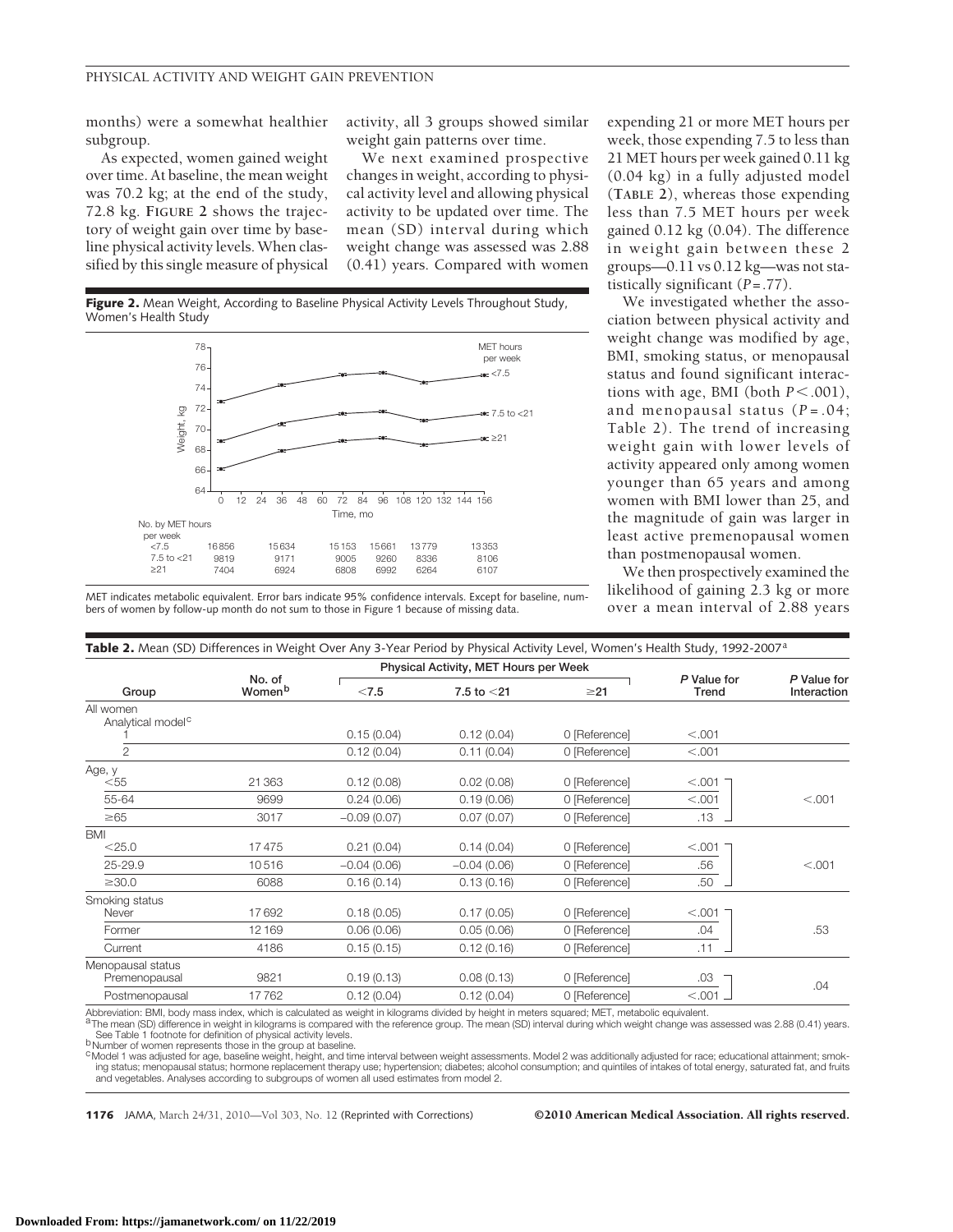months) were a somewhat healthier subgroup.

As expected, women gained weight over time. At baseline, the mean weight was 70.2 kg; at the end of the study, 72.8 kg. **FIGURE 2** shows the trajectory of weight gain over time by baseline physical activity levels. When classified by this single measure of physical

activity, all 3 groups showed similar weight gain patterns over time.

We next examined prospective changes in weight, according to physical activity level and allowing physical activity to be updated over time. The mean (SD) interval during which weight change was assessed was 2.88 (0.41) years. Compared with women

**Figure 2.** Mean Weight, According to Baseline Physical Activity Levels Throughout Study, Women's Health Study



MET indicates metabolic equivalent. Error bars indicate 95% confidence intervals. Except for baseline, numbers of women by follow-up month do not sum to those in Figure 1 because of missing data.

expending 21 or more MET hours per week, those expending 7.5 to less than 21 MET hours per week gained 0.11 kg (0.04 kg) in a fully adjusted model (**TABLE 2**), whereas those expending less than 7.5 MET hours per week gained 0.12 kg (0.04). The difference in weight gain between these 2 groups—0.11 vs 0.12 kg—was not statistically significant (*P*=.77).

We investigated whether the association between physical activity and weight change was modified by age, BMI, smoking status, or menopausal status and found significant interactions with age, BMI (both  $P < .001$ ), and menopausal status (*P* =.04; Table 2). The trend of increasing weight gain with lower levels of activity appeared only among women younger than 65 years and among women with BMI lower than 25, and the magnitude of gain was larger in least active premenopausal women than postmenopausal women.

We then prospectively examined the likelihood of gaining 2.3 kg or more over a mean interval of 2.88 years

|                                            |                  | Physical Activity, MET Hours per Week |               |               |                      |                            |
|--------------------------------------------|------------------|---------------------------------------|---------------|---------------|----------------------|----------------------------|
| Group                                      | No. of<br>Womenb | < 7.5                                 | 7.5 to $<$ 21 | $\geq$ 21     | P Value for<br>Trend | P Value for<br>Interaction |
| All women<br>Analytical model <sup>c</sup> |                  |                                       |               |               |                      |                            |
|                                            |                  | 0.15(0.04)                            | 0.12(0.04)    | 0 [Reference] | < .001               |                            |
| 2                                          |                  | 0.12(0.04)                            | 0.11(0.04)    | 0 [Reference] | < .001               |                            |
| Age, y                                     |                  |                                       |               |               |                      |                            |
| $<$ 55                                     | 21 3 6 3         | 0.12(0.08)                            | 0.02(0.08)    | 0 [Reference] | < .001               |                            |
| 55-64                                      | 9699             | 0.24(0.06)                            | 0.19(0.06)    | 0 [Reference] | < .001               | < .001                     |
| $\geq 65$                                  | 3017             | $-0.09(0.07)$                         | 0.07(0.07)    | 0 [Reference] | .13                  |                            |
| <b>BMI</b>                                 |                  |                                       |               |               |                      |                            |
| $<$ 25.0                                   | 17475            | 0.21(0.04)                            | 0.14(0.04)    | 0 [Reference] | < 0.001              |                            |
| 25-29.9                                    | 10516            | $-0.04(0.06)$                         | $-0.04(0.06)$ | 0 [Reference] | .56                  | < .001                     |
| $\geq$ 30.0                                | 6088             | 0.16(0.14)                            | 0.13(0.16)    | 0 [Reference] | .50                  |                            |
| Smoking status                             |                  |                                       |               |               |                      |                            |
| Never                                      | 17692            | 0.18(0.05)                            | 0.17(0.05)    | 0 [Reference] | < .001               |                            |
| Former                                     | 12169            | 0.06(0.06)                            | 0.05(0.06)    | 0 [Reference] | .04                  | .53                        |
| Current                                    | 4186             | 0.15(0.15)                            | 0.12(0.16)    | 0 [Reference] | .11                  |                            |
| Menopausal status<br>Premenopausal         | 9821             | 0.19(0.13)                            | 0.08(0.13)    | 0 [Reference] | .03                  |                            |
| Postmenopausal                             | 17762            | 0.12(0.04)                            | 0.12(0.04)    | 0 [Reference] | $< .001$ .           | .04                        |

breviation: BMI, body mass index, which is calculated as weight in kilograms divided by height in meters squared; MET, metabolic equivalent

aThe mean (SD) difference in weight in kilograms is compared with the reference group. The mean (SD) interval during which weight change was assessed was 2.88 (0.41) years.<br>See Table 1 footnote for definition of physical a b<sub>Number</sub> of women represents those in the group at baseline.

<sup>c</sup> Model 1 was adjusted for age, baseline weight, height, and time interval between weight assessments. Model 2 was additionally adjusted for race; educational attainment; smoking status; menopausal status; hormone replacement therapy use; hypertension; diabetes; alcohol consumption; and quintiles of intakes of total energy, saturated fat, and fruits and vegetables. Analyses according to subgroups of women all used estimates from model 2.

**1176** JAMA, March 24/31, 2010—Vol 303, No. 12 (Reprinted with Corrections) ©2010 American Medical Association. All rights reserved.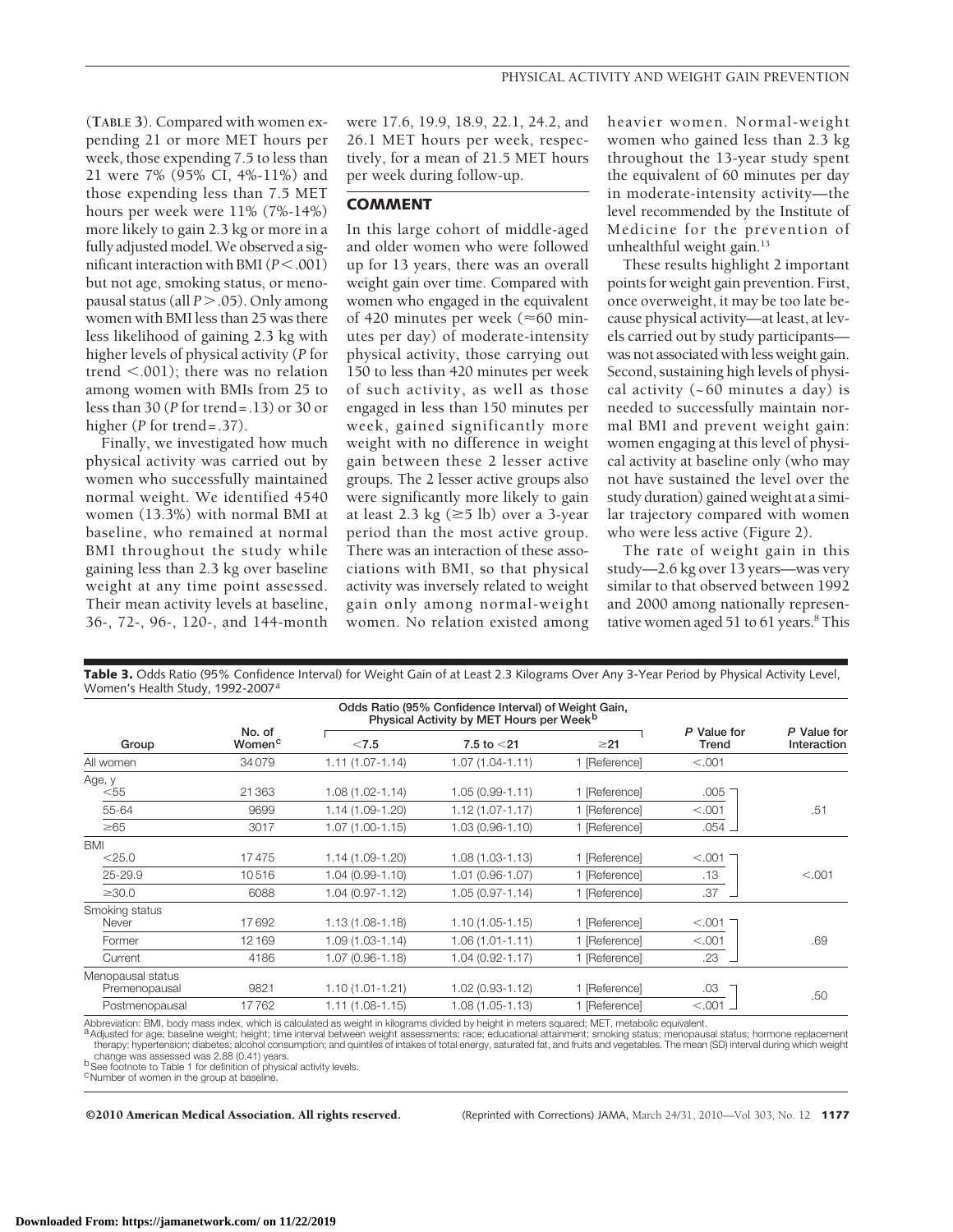(**TABLE 3**). Compared with women expending 21 or more MET hours per week, those expending 7.5 to less than 21 were 7% (95% CI, 4%-11%) and those expending less than 7.5 MET hours per week were 11% (7%-14%) more likely to gain 2.3 kg or more in a fully adjusted model. We observed a significant interaction with BMI ( $P$  < .001) but not age, smoking status, or menopausal status (all *P* > .05). Only among women with BMI less than 25 was there less likelihood of gaining 2.3 kg with higher levels of physical activity (*P* for trend  $< .001$ ); there was no relation among women with BMIs from 25 to less than 30 (*P* for trend=.13) or 30 or higher (*P* for trend=.37).

Finally, we investigated how much physical activity was carried out by women who successfully maintained normal weight. We identified 4540 women (13.3%) with normal BMI at baseline, who remained at normal BMI throughout the study while gaining less than 2.3 kg over baseline weight at any time point assessed. Their mean activity levels at baseline, 36-, 72-, 96-, 120-, and 144-month

were 17.6, 19.9, 18.9, 22.1, 24.2, and 26.1 MET hours per week, respectively, for a mean of 21.5 MET hours per week during follow-up.

## **COMMENT**

In this large cohort of middle-aged and older women who were followed up for 13 years, there was an overall weight gain over time. Compared with women who engaged in the equivalent of 420 minutes per week ( $\approx$ 60 minutes per day) of moderate-intensity physical activity, those carrying out 150 to less than 420 minutes per week of such activity, as well as those engaged in less than 150 minutes per week, gained significantly more weight with no difference in weight gain between these 2 lesser active groups. The 2 lesser active groups also were significantly more likely to gain at least 2.3 kg  $(\geq 5 \text{ lb})$  over a 3-year period than the most active group. There was an interaction of these associations with BMI, so that physical activity was inversely related to weight gain only among normal-weight women. No relation existed among

heavier women. Normal-weight women who gained less than 2.3 kg throughout the 13-year study spent the equivalent of 60 minutes per day in moderate-intensity activity—the level recommended by the Institute of Medicine for the prevention of unhealthful weight gain.<sup>13</sup>

These results highlight 2 important points for weight gain prevention. First, once overweight, it may be too late because physical activity—at least, at levels carried out by study participants was not associated with less weight gain. Second, sustaining high levels of physical activity  $(-60 \text{ minutes a day})$  is needed to successfully maintain normal BMI and prevent weight gain: women engaging at this level of physical activity at baseline only (who may not have sustained the level over the study duration) gained weight at a similar trajectory compared with women who were less active (Figure 2).

The rate of weight gain in this study—2.6 kg over 13 years—was very similar to that observed between 1992 and 2000 among nationally representative women aged 51 to 61 years. $8$  This

| Odds Ratio (95% Confidence Interval) of Weight Gain,<br>Physical Activity by MET Hours per Week <sup>b</sup> |                              |                                          |                                         |                                |                      |                            |  |
|--------------------------------------------------------------------------------------------------------------|------------------------------|------------------------------------------|-----------------------------------------|--------------------------------|----------------------|----------------------------|--|
| Group                                                                                                        | No. of<br>Women <sup>c</sup> | < 7.5                                    | 7.5 to $<$ 21                           | $\geq$ 21                      | P Value for<br>Trend | P Value for<br>Interaction |  |
| All women                                                                                                    | 34079                        | $1.11(1.07 - 1.14)$                      | $1.07(1.04 - 1.11)$                     | 1 [Reference]                  | < .001               |                            |  |
| Age, y<br>$<$ 55                                                                                             | 21363                        | $1.08(1.02 - 1.14)$                      | $1.05(0.99 - 1.11)$                     | 1 [Reference]                  | .005                 |                            |  |
| 55-64                                                                                                        | 9699                         | 1.14 (1.09-1.20)                         | $1.12(1.07 - 1.17)$                     | 1 [Reference]                  | < 0.001              | .51                        |  |
| $\geq 65$                                                                                                    | 3017                         | $1.07(1.00-1.15)$                        | $1.03(0.96 - 1.10)$                     | 1 [Reference]                  | $.054$ $\Box$        |                            |  |
| <b>BMI</b><br>$<$ 25.0<br>25-29.9                                                                            | 17475<br>10516               | $1.14(1.09-1.20)$<br>$1.04(0.99 - 1.10)$ | $1.08(1.03 - 1.13)$<br>1.01 (0.96-1.07) | 1 [Reference]<br>1 [Reference] | < 0.001<br>.13       | < 0.001                    |  |
| $\geq$ 30.0                                                                                                  | 6088                         | $1.04(0.97 - 1.12)$                      | $1.05(0.97 - 1.14)$                     | 1 [Reference]                  | .37                  |                            |  |
| Smoking status<br>Never                                                                                      | 17692                        | $1.13(1.08-1.18)$                        | $1.10(1.05 - 1.15)$                     | 1 [Reference]                  | < 0.001              |                            |  |
| Former                                                                                                       | 12169                        | $1.09(1.03 - 1.14)$                      | $1.06(1.01 - 1.11)$                     | 1 [Reference]                  | < 0.001              | .69                        |  |
| Current                                                                                                      | 4186                         | 1.07 (0.96-1.18)                         | $1.04(0.92 - 1.17)$                     | 1 [Reference]                  | .23                  |                            |  |
| Menopausal status<br>Premenopausal                                                                           | 9821                         | $1.10(1.01 - 1.21)$                      | 1.02 (0.93-1.12)                        | 1 [Reference]                  | .03                  | .50                        |  |
| Postmenopausal                                                                                               | 17762                        | $1.11(1.08-1.15)$                        | 1.08 (1.05-1.13)                        | 1 [Reference]                  | $< .001 -$           |                            |  |

**Table 3.** Odds Ratio (95% Confidence Interval) for Weight Gain of at Least 2.3 Kilograms Over Any 3-Year Period by Physical Activity Level, Women's Health Study, 1992-2007<sup>a</sup>

Abbreviation: BMI, body mass index, which is calculated as weight in kilograms divided by height in meters squared; MET, metabolic equivalent.<br><sup>a</sup> Adjusted for age; baseline weight; height; time interval between weight ass therapy; hypertension; diabetes; alcohol consumption; and quintiles of intakes of total energy, saturated fat, and fruits and vegetables. The mean (SD) interval during which weight change was assessed was 2.88 (0.41) years

b See footnote to Table 1 for definition of physical activity levels.

<sup>c</sup>Number of women in the group at baseline.

©2010 American Medical Association. All rights reserved. (Reprinted with Corrections) JAMA, March 24/31, 2010—Vol 303, No. 12 **1177**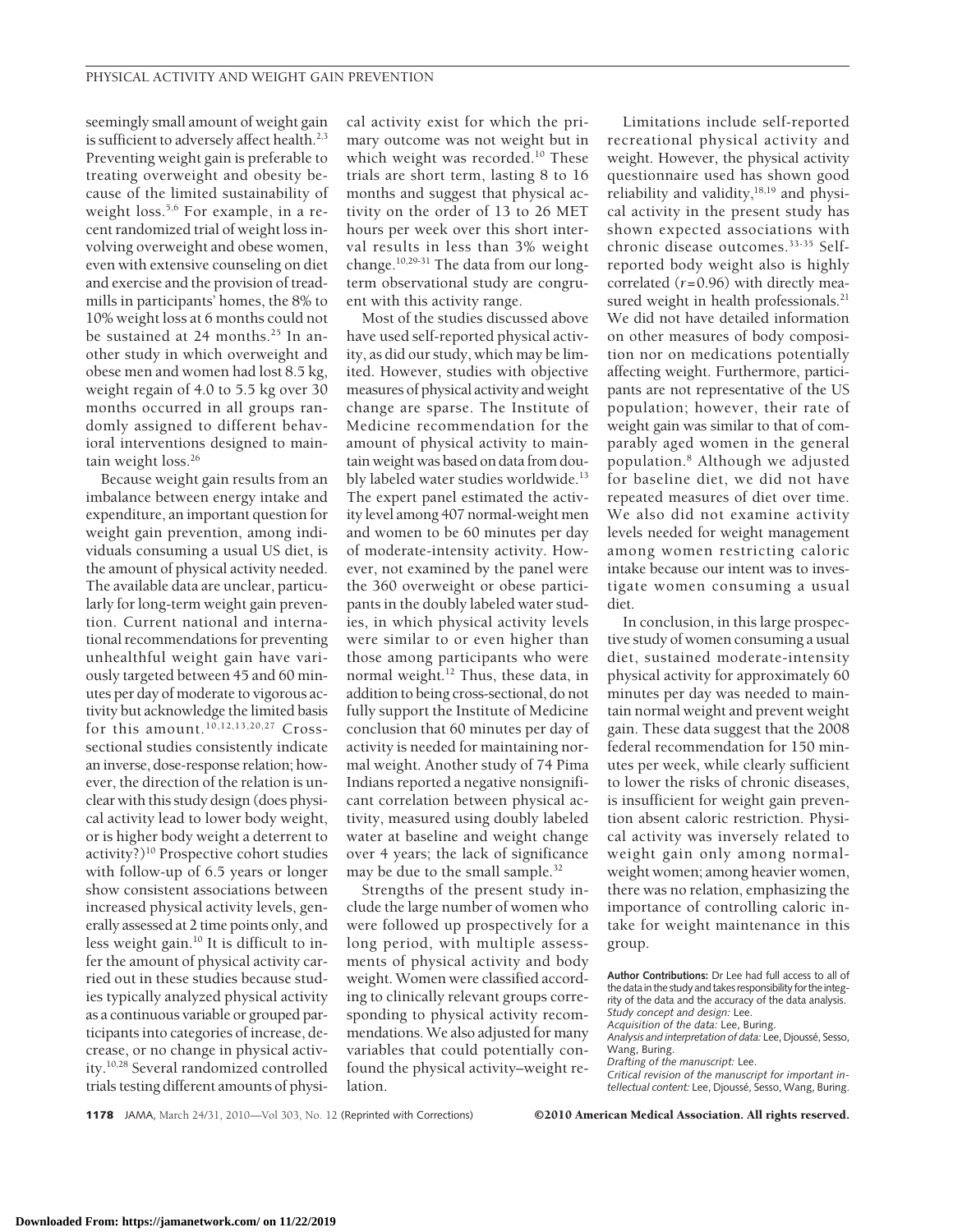seemingly small amount of weight gain is sufficient to adversely affect health.<sup>2,3</sup> Preventing weight gain is preferable to treating overweight and obesity because of the limited sustainability of weight loss.<sup>5,6</sup> For example, in a recent randomized trial of weight loss involving overweight and obese women, even with extensive counseling on diet and exercise and the provision of treadmills in participants' homes, the 8% to 10% weight loss at 6 months could not be sustained at 24 months.<sup>25</sup> In another study in which overweight and obese men and women had lost 8.5 kg, weight regain of 4.0 to 5.5 kg over 30 months occurred in all groups randomly assigned to different behavioral interventions designed to maintain weight loss.<sup>26</sup>

Because weight gain results from an imbalance between energy intake and expenditure, an important question for weight gain prevention, among individuals consuming a usual US diet, is the amount of physical activity needed. The available data are unclear, particularly for long-term weight gain prevention. Current national and international recommendations for preventing unhealthful weight gain have variously targeted between 45 and 60 minutes per day of moderate to vigorous activity but acknowledge the limited basis for this amount.<sup>10,12,13,20,27</sup> Crosssectional studies consistently indicate an inverse, dose-response relation; however, the direction of the relation is unclear with this study design (does physical activity lead to lower body weight, or is higher body weight a deterrent to activity?)10 Prospective cohort studies with follow-up of 6.5 years or longer show consistent associations between increased physical activity levels, generally assessed at 2 time points only, and less weight gain.10 It is difficult to infer the amount of physical activity carried out in these studies because studies typically analyzed physical activity as a continuous variable or grouped participants into categories of increase, decrease, or no change in physical activity.10,28 Several randomized controlled trials testing different amounts of physical activity exist for which the primary outcome was not weight but in which weight was recorded.<sup>10</sup> These trials are short term, lasting 8 to 16 months and suggest that physical activity on the order of 13 to 26 MET hours per week over this short interval results in less than 3% weight change.10,29-31 The data from our longterm observational study are congruent with this activity range.

Most of the studies discussed above have used self-reported physical activity, as did our study, which may be limited. However, studies with objective measures of physical activity and weight change are sparse. The Institute of Medicine recommendation for the amount of physical activity to maintain weight was based on data from doubly labeled water studies worldwide.<sup>13</sup> The expert panel estimated the activity level among 407 normal-weight men and women to be 60 minutes per day of moderate-intensity activity. However, not examined by the panel were the 360 overweight or obese participants in the doubly labeled water studies, in which physical activity levels were similar to or even higher than those among participants who were normal weight.12 Thus, these data, in addition to being cross-sectional, do not fully support the Institute of Medicine conclusion that 60 minutes per day of activity is needed for maintaining normal weight. Another study of 74 Pima Indians reported a negative nonsignificant correlation between physical activity, measured using doubly labeled water at baseline and weight change over 4 years; the lack of significance may be due to the small sample.<sup>32</sup>

Strengths of the present study include the large number of women who were followed up prospectively for a long period, with multiple assessments of physical activity and body weight. Women were classified according to clinically relevant groups corresponding to physical activity recommendations. We also adjusted for many variables that could potentially confound the physical activity–weight relation.

Limitations include self-reported recreational physical activity and weight. However, the physical activity questionnaire used has shown good reliability and validity, $18,19$  and physical activity in the present study has shown expected associations with chronic disease outcomes.33-35 Selfreported body weight also is highly correlated (*r*=0.96) with directly measured weight in health professionals.<sup>21</sup> We did not have detailed information on other measures of body composition nor on medications potentially affecting weight. Furthermore, participants are not representative of the US population; however, their rate of weight gain was similar to that of comparably aged women in the general population.8 Although we adjusted for baseline diet, we did not have repeated measures of diet over time. We also did not examine activity levels needed for weight management among women restricting caloric intake because our intent was to investigate women consuming a usual diet.

In conclusion, in this large prospective study of women consuming a usual diet, sustained moderate-intensity physical activity for approximately 60 minutes per day was needed to maintain normal weight and prevent weight gain. These data suggest that the 2008 federal recommendation for 150 minutes per week, while clearly sufficient to lower the risks of chronic diseases, is insufficient for weight gain prevention absent caloric restriction. Physical activity was inversely related to weight gain only among normalweight women; among heavier women, there was no relation, emphasizing the importance of controlling caloric intake for weight maintenance in this group.

**Author Contributions:** Dr Lee had full access to all of the data in the study and takes responsibility for the integrity of the data and the accuracy of the data analysis. *Study concept and design:* Lee. *Acquisition of the data:* Lee, Buring. *Analysis and interpretation of data:* Lee, Djousse´, Sesso,

Wang, Buring.

*Drafting of the manuscript:* Lee.

*Critical revision of the manuscript for important intellectual content:* Lee, Djousse´, Sesso, Wang, Buring.

**1178** JAMA, March 24/31, 2010—Vol 303, No. 12 (Reprinted with Corrections) ©2010 American Medical Association. All rights reserved.